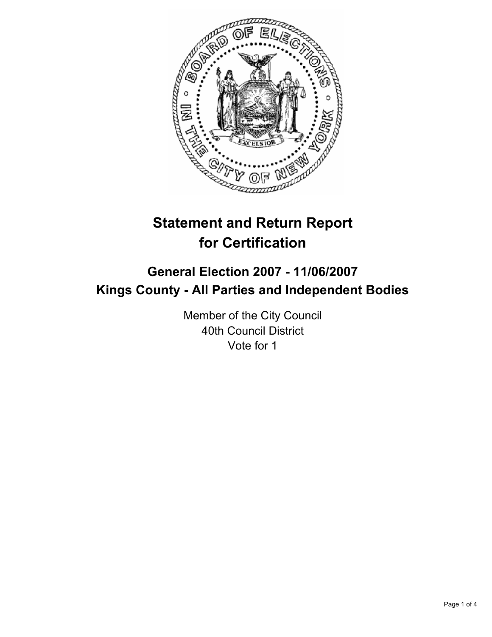

# **Statement and Return Report for Certification**

# **General Election 2007 - 11/06/2007 Kings County - All Parties and Independent Bodies**

Member of the City Council 40th Council District Vote for 1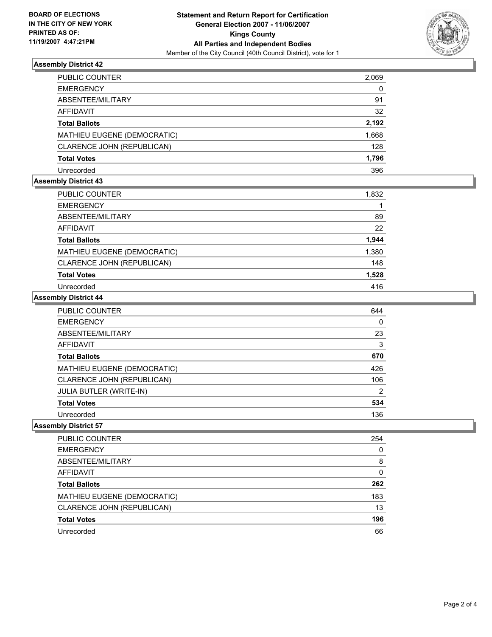

# **Assembly District 42**

| PUBLIC COUNTER              | 2,069 |
|-----------------------------|-------|
| <b>EMERGENCY</b>            | 0     |
| ABSENTEE/MILITARY           | 91    |
| AFFIDAVIT                   | 32    |
| <b>Total Ballots</b>        | 2,192 |
| MATHIEU EUGENE (DEMOCRATIC) | 1,668 |
| CLARENCE JOHN (REPUBLICAN)  | 128   |
| <b>Total Votes</b>          | 1,796 |
| Unrecorded                  | 396   |

# **Assembly District 43**

| PUBLIC COUNTER              | 1,832 |
|-----------------------------|-------|
| <b>EMERGENCY</b>            |       |
| ABSENTEE/MILITARY           | 89    |
| AFFIDAVIT                   | 22    |
| <b>Total Ballots</b>        | 1,944 |
| MATHIEU EUGENE (DEMOCRATIC) | 1,380 |
| CLARENCE JOHN (REPUBLICAN)  | 148   |
| <b>Total Votes</b>          | 1,528 |
| Unrecorded                  | 416   |

### **Assembly District 44**

| PUBLIC COUNTER                 | 644 |
|--------------------------------|-----|
| <b>EMERGENCY</b>               | 0   |
| ABSENTEE/MILITARY              | 23  |
| <b>AFFIDAVIT</b>               | 3   |
| <b>Total Ballots</b>           | 670 |
| MATHIEU EUGENE (DEMOCRATIC)    | 426 |
| CLARENCE JOHN (REPUBLICAN)     | 106 |
| <b>JULIA BUTLER (WRITE-IN)</b> | 2   |
| <b>Total Votes</b>             | 534 |
| Unrecorded                     | 136 |

# **Assembly District 57**

| PUBLIC COUNTER              | 254 |
|-----------------------------|-----|
| <b>EMERGENCY</b>            |     |
| ABSENTEE/MILITARY           | 8   |
| AFFIDAVIT                   |     |
| <b>Total Ballots</b>        | 262 |
| MATHIEU EUGENE (DEMOCRATIC) | 183 |
| CLARENCE JOHN (REPUBLICAN)  | 13  |
| <b>Total Votes</b>          | 196 |
| Unrecorded                  | 66  |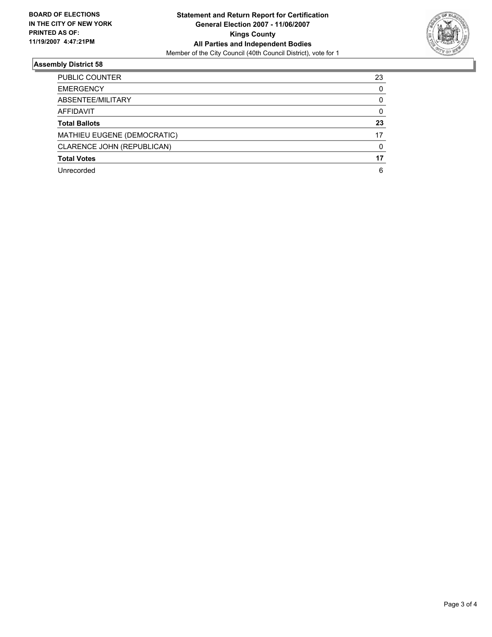

# **Assembly District 58**

| PUBLIC COUNTER              | 23 |
|-----------------------------|----|
| <b>EMERGENCY</b>            |    |
| ABSENTEE/MILITARY           |    |
| <b>AFFIDAVIT</b>            |    |
| <b>Total Ballots</b>        | 23 |
| MATHIEU EUGENE (DEMOCRATIC) | 17 |
| CLARENCE JOHN (REPUBLICAN)  |    |
| <b>Total Votes</b>          | 17 |
| Unrecorded                  | 6  |